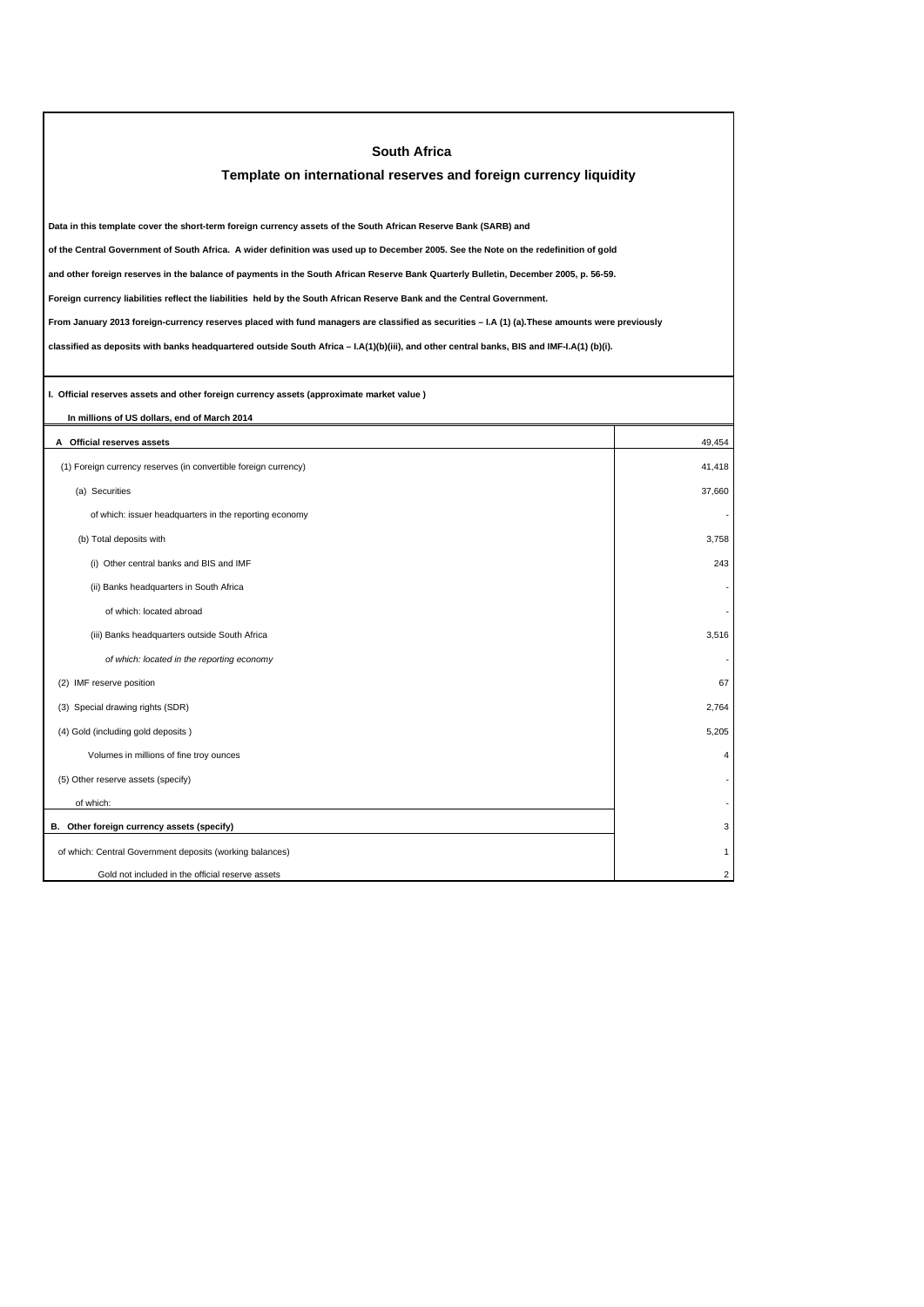| <b>South Africa</b>                                                                                                                             |                         |  |  |
|-------------------------------------------------------------------------------------------------------------------------------------------------|-------------------------|--|--|
| Template on international reserves and foreign currency liquidity                                                                               |                         |  |  |
|                                                                                                                                                 |                         |  |  |
| Data in this template cover the short-term foreign currency assets of the South African Reserve Bank (SARB) and                                 |                         |  |  |
| of the Central Government of South Africa. A wider definition was used up to December 2005. See the Note on the redefinition of gold            |                         |  |  |
| and other foreign reserves in the balance of payments in the South African Reserve Bank Quarterly Bulletin, December 2005, p. 56-59.            |                         |  |  |
| Foreign currency liabilities reflect the liabilities held by the South African Reserve Bank and the Central Government.                         |                         |  |  |
| From January 2013 foreign-currency reserves placed with fund managers are classified as securities - I.A (1) (a). These amounts were previously |                         |  |  |
| classified as deposits with banks headquartered outside South Africa - I.A(1)(b)(iii), and other central banks, BIS and IMF-I.A(1) (b)(i).      |                         |  |  |
|                                                                                                                                                 |                         |  |  |
| I. Official reserves assets and other foreign currency assets (approximate market value)                                                        |                         |  |  |
| In millions of US dollars, end of March 2014                                                                                                    |                         |  |  |
| A Official reserves assets                                                                                                                      | 49,454                  |  |  |
| (1) Foreign currency reserves (in convertible foreign currency)                                                                                 | 41,418                  |  |  |
| (a) Securities                                                                                                                                  | 37,660                  |  |  |
| of which: issuer headquarters in the reporting economy                                                                                          |                         |  |  |
| (b) Total deposits with                                                                                                                         | 3,758                   |  |  |
| (i) Other central banks and BIS and IMF                                                                                                         | 243                     |  |  |
| (ii) Banks headquarters in South Africa                                                                                                         |                         |  |  |
| of which: located abroad                                                                                                                        |                         |  |  |
| (iii) Banks headquarters outside South Africa                                                                                                   | 3,516                   |  |  |
| of which: located in the reporting economy                                                                                                      |                         |  |  |
| (2) IMF reserve position                                                                                                                        | 67                      |  |  |
| (3) Special drawing rights (SDR)                                                                                                                | 2,764                   |  |  |
| (4) Gold (including gold deposits)                                                                                                              | 5,205                   |  |  |
| Volumes in millions of fine troy ounces                                                                                                         | $\overline{\mathbf{A}}$ |  |  |
| (5) Other reserve assets (specify)                                                                                                              |                         |  |  |
| of which:                                                                                                                                       |                         |  |  |
| B. Other foreign currency assets (specify)                                                                                                      | З                       |  |  |
| of which: Central Government deposits (working balances)                                                                                        |                         |  |  |
| Gold not included in the official reserve assets                                                                                                | $\mathfrak{p}$          |  |  |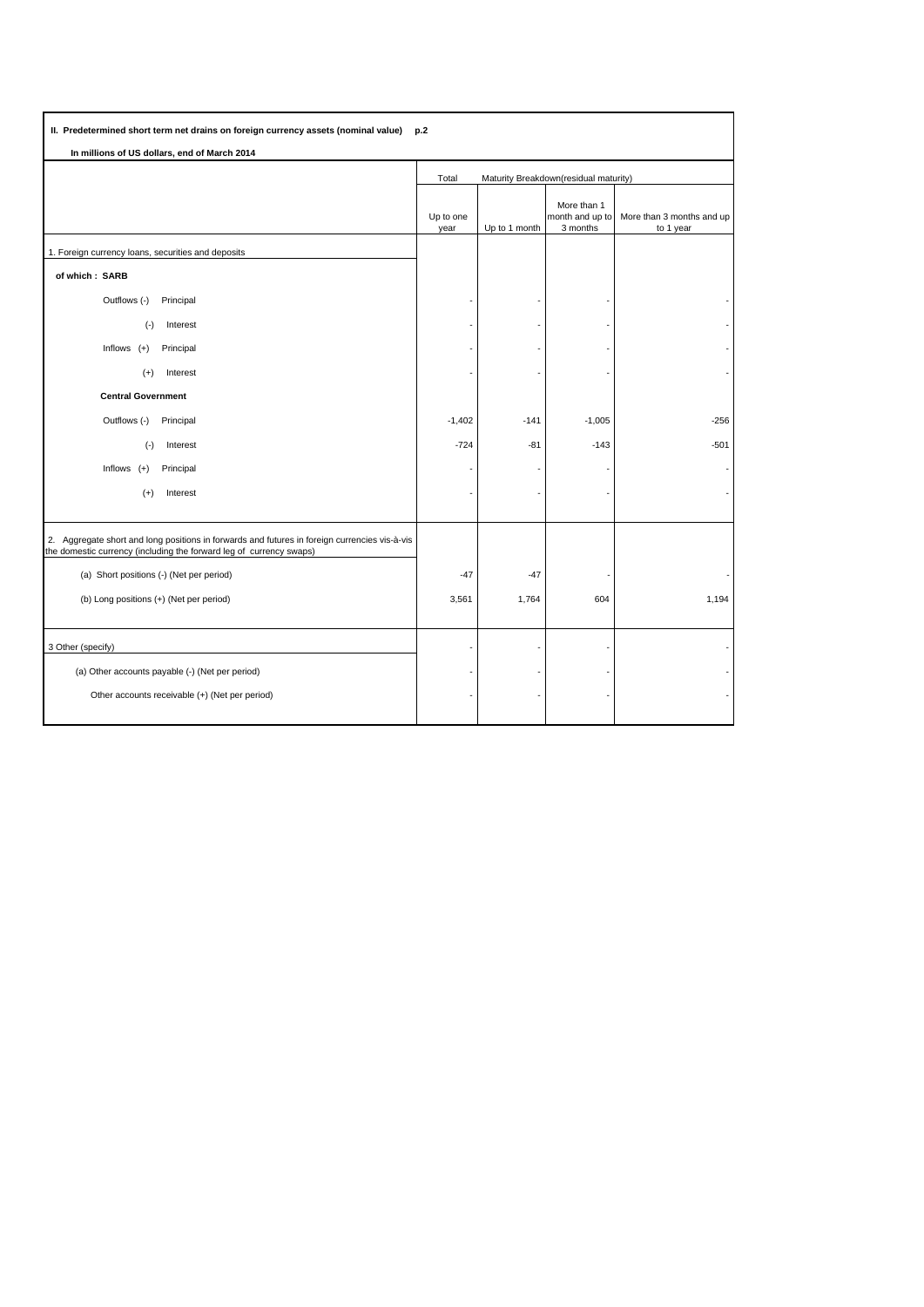| II. Predetermined short term net drains on foreign currency assets (nominal value)<br>p.2                                                                            |                                                |               |                                            |                                        |
|----------------------------------------------------------------------------------------------------------------------------------------------------------------------|------------------------------------------------|---------------|--------------------------------------------|----------------------------------------|
| In millions of US dollars, end of March 2014                                                                                                                         |                                                |               |                                            |                                        |
|                                                                                                                                                                      | Maturity Breakdown(residual maturity)<br>Total |               |                                            |                                        |
|                                                                                                                                                                      | Up to one<br>year                              | Up to 1 month | More than 1<br>month and up to<br>3 months | More than 3 months and up<br>to 1 year |
| 1. Foreign currency loans, securities and deposits                                                                                                                   |                                                |               |                                            |                                        |
| of which: SARB                                                                                                                                                       |                                                |               |                                            |                                        |
| Outflows (-)<br>Principal                                                                                                                                            |                                                |               |                                            |                                        |
| $(-)$<br>Interest                                                                                                                                                    |                                                |               |                                            |                                        |
| Inflows $(+)$<br>Principal                                                                                                                                           |                                                |               |                                            |                                        |
| Interest<br>$(+)$                                                                                                                                                    |                                                |               |                                            |                                        |
| <b>Central Government</b>                                                                                                                                            |                                                |               |                                            |                                        |
| Outflows (-)<br>Principal                                                                                                                                            | $-1,402$                                       | $-141$        | $-1,005$                                   | $-256$                                 |
| $(-)$<br>Interest                                                                                                                                                    | $-724$                                         | $-81$         | $-143$                                     | -501                                   |
| Inflows<br>$(+)$<br>Principal                                                                                                                                        |                                                |               |                                            |                                        |
| $(+)$<br>Interest                                                                                                                                                    |                                                |               |                                            |                                        |
|                                                                                                                                                                      |                                                |               |                                            |                                        |
| 2. Aggregate short and long positions in forwards and futures in foreign currencies vis-à-vis<br>the domestic currency (including the forward leg of currency swaps) |                                                |               |                                            |                                        |
| (a) Short positions (-) (Net per period)                                                                                                                             | $-47$                                          | $-47$         |                                            |                                        |
| (b) Long positions (+) (Net per period)                                                                                                                              | 3,561                                          | 1,764         | 604                                        | 1,194                                  |
|                                                                                                                                                                      |                                                |               |                                            |                                        |
| 3 Other (specify)                                                                                                                                                    |                                                |               |                                            |                                        |
| (a) Other accounts payable (-) (Net per period)                                                                                                                      |                                                |               |                                            |                                        |
| Other accounts receivable (+) (Net per period)                                                                                                                       |                                                |               |                                            |                                        |
|                                                                                                                                                                      |                                                |               |                                            |                                        |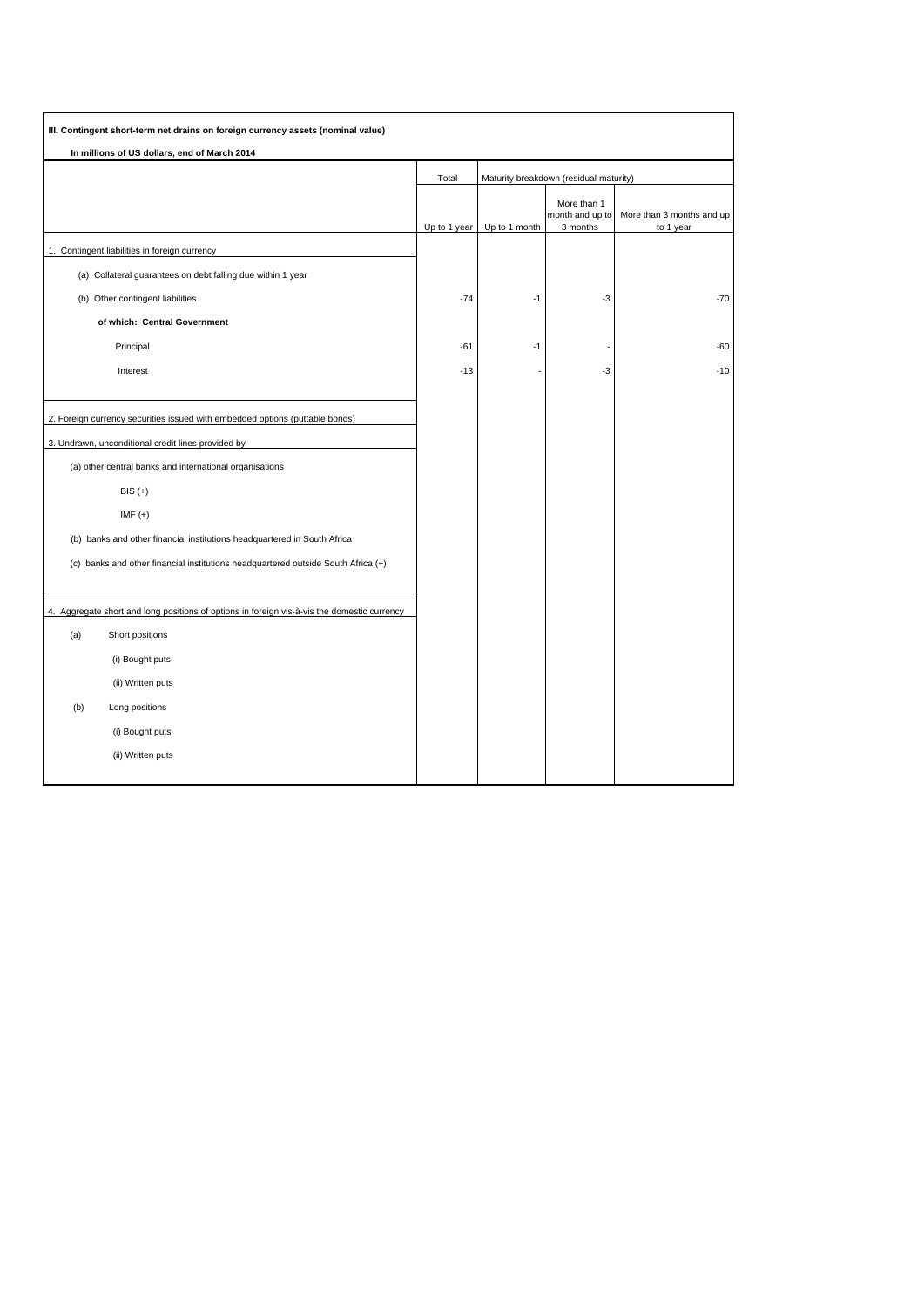| III. Contingent short-term net drains on foreign currency assets (nominal value)               |              |                                        |                                            |                                        |
|------------------------------------------------------------------------------------------------|--------------|----------------------------------------|--------------------------------------------|----------------------------------------|
| In millions of US dollars, end of March 2014                                                   |              |                                        |                                            |                                        |
|                                                                                                | Total        | Maturity breakdown (residual maturity) |                                            |                                        |
|                                                                                                | Up to 1 year | Up to 1 month                          | More than 1<br>month and up to<br>3 months | More than 3 months and up<br>to 1 year |
| 1. Contingent liabilities in foreign currency                                                  |              |                                        |                                            |                                        |
| (a) Collateral guarantees on debt falling due within 1 year                                    |              |                                        |                                            |                                        |
| (b) Other contingent liabilities                                                               | $-74$        | $-1$                                   | $-3$                                       | $-70$                                  |
| of which: Central Government                                                                   |              |                                        |                                            |                                        |
| Principal                                                                                      | $-61$        | $-1$                                   |                                            | -60                                    |
| Interest                                                                                       | $-13$        |                                        | -3                                         | $-10$                                  |
|                                                                                                |              |                                        |                                            |                                        |
| 2. Foreign currency securities issued with embedded options (puttable bonds)                   |              |                                        |                                            |                                        |
| 3. Undrawn, unconditional credit lines provided by                                             |              |                                        |                                            |                                        |
| (a) other central banks and international organisations                                        |              |                                        |                                            |                                        |
| $BIS (+)$                                                                                      |              |                                        |                                            |                                        |
| IMF $(+)$                                                                                      |              |                                        |                                            |                                        |
| (b) banks and other financial institutions headquartered in South Africa                       |              |                                        |                                            |                                        |
| (c) banks and other financial institutions headquartered outside South Africa (+)              |              |                                        |                                            |                                        |
|                                                                                                |              |                                        |                                            |                                        |
| Aggregate short and long positions of options in foreign vis-à-vis the domestic currency<br>4. |              |                                        |                                            |                                        |
| (a)<br>Short positions                                                                         |              |                                        |                                            |                                        |
| (i) Bought puts                                                                                |              |                                        |                                            |                                        |
| (ii) Written puts                                                                              |              |                                        |                                            |                                        |
| (b)<br>Long positions                                                                          |              |                                        |                                            |                                        |
| (i) Bought puts                                                                                |              |                                        |                                            |                                        |
| (ii) Written puts                                                                              |              |                                        |                                            |                                        |
|                                                                                                |              |                                        |                                            |                                        |